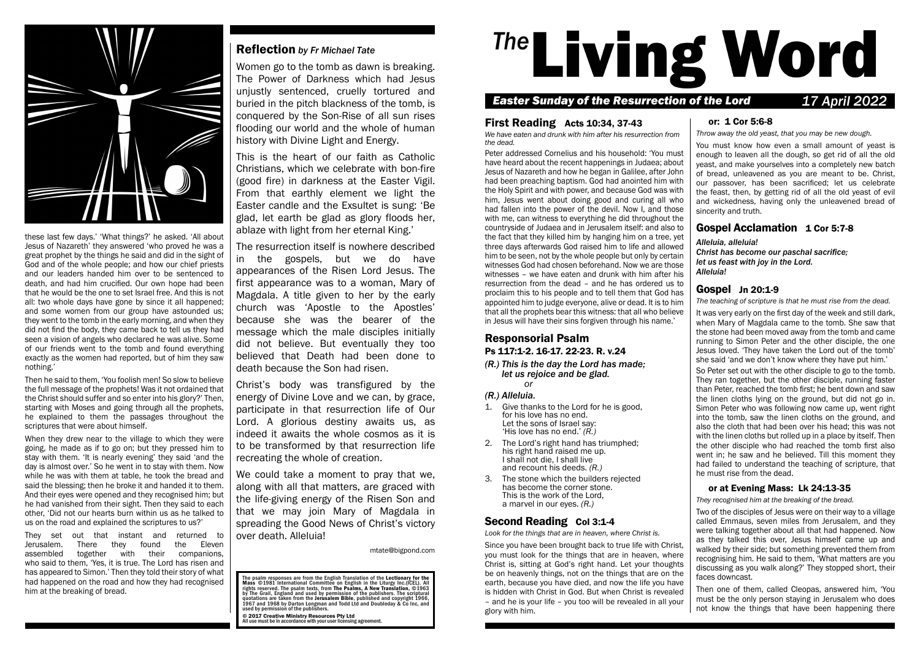

these last few days.' 'What things?' he asked. 'All about Jesus of Nazareth' they answered 'who proved he was a great prophet by the things he said and did in the sight of God and of the whole people; and how our chief priests and our leaders handed him over to be sentenced to death, and had him crucified. Our own hope had been that he would be the one to set Israel free. And this is not all: two whole days have gone by since it all happened; and some women from our group have astounded us; they went to the tomb in the early morning, and when they did not find the body, they came back to tell us they had seen a vision of angels who declared he was alive. Some of our friends went to the tomb and found everything exactly as the women had reported, but of him they saw nothing.'

Then he said to them, 'You foolish men! So slow to believe the full message of the prophets! Was it not ordained that the Christ should suffer and so enter into his glory?' Then, starting with Moses and going through all the prophets, he explained to them the passages throughout the scriptures that were about himself.

When they drew near to the village to which they were going, he made as if to go on; but they pressed him to stay with them. 'It is nearly evening' they said 'and the day is almost over.' So he went in to stay with them. Now while he was with them at table, he took the bread and said the blessing; then he broke it and handed it to them. And their eyes were opened and they recognised him; but he had vanished from their sight. Then they said to each other, 'Did not our hearts burn within us as he talked to us on the road and explained the scriptures to us?'

They set out that instant and returned to<br>Jerusalem. There they found the Eleven Jerusalem. There they found the Eleven<br>assembled together with their companions. together with their who said to them, 'Yes, it is true. The Lord has risen and has appeared to Simon.' Then they told their story of what had happened on the road and how they had recognised him at the breaking of bread.

### Reflection *by Fr Michael Tate*

Women go to the tomb as dawn is breaking. The Power of Darkness which had Jesus unjustly sentenced, cruelly tortured and buried in the pitch blackness of the tomb, is conquered by the Son-Rise of all sun rises flooding our world and the whole of human history with Divine Light and Energy.

This is the heart of our faith as Catholic Christians, which we celebrate with bon-fire (good fire) in darkness at the Easter Vigil. From that earthly element we light the Easter candle and the Exsultet is sung: 'Be glad, let earth be glad as glory floods her, ablaze with light from her eternal King.'

The resurrection itself is nowhere described in the gospels, but we do have appearances of the Risen Lord Jesus. The first appearance was to a woman, Mary of Magdala. A title given to her by the early church was 'Apostle to the Apostles' because she was the bearer of the message which the male disciples initially did not believe. But eventually they too believed that Death had been done to death because the Son had risen.

Christ's body was transfigured by the energy of Divine Love and we can, by grace, participate in that resurrection life of Our Lord. A glorious destiny awaits us, as indeed it awaits the whole cosmos as it is to be transformed by that resurrection life recreating the whole of creation.

We could take a moment to pray that we, along with all that matters, are graced with the life-giving energy of the Risen Son and that we may join Mary of Magdala in spreading the Good News of Christ's victory over death. Alleluia!

mtate@bigpond.com

The psalm responses are from the English Translation of the Lectionary for the<br>Mass ©1981 International Committee on English in the Liturgy Inc.(ICEL). All rights reserved. The psalm texts, from **The Psalms, A New Translation**, ©1963<br>by The Grail, England and used by permission of the publishers. The scriptural quotations are taken from the **Jerusalem Bible**, published and copyright 1966,<br>1967 and 1968 by Darton Longman and Todd Ltd and Doubleday & Co Inc, and<br>used by permission of the publishers.

© 2017 Creative Ministry Resources Pty Ltd All use must be in accordance with your user licensing agreement.

# <sup>The</sup>Living Word

#### *Easter Sunday of the Resurrection of the Lord 17 April 2022*

#### First Reading Acts 10:34, 37-43

*We have eaten and drunk with him after his resurrection from the dead.*

Peter addressed Cornelius and his household: 'You must have heard about the recent happenings in Judaea; about Jesus of Nazareth and how he began in Galilee, after John had been preaching baptism. God had anointed him with the Holy Spirit and with power, and because God was with him, Jesus went about doing good and curing all who had fallen into the power of the devil. Now I, and those with me, can witness to everything he did throughout the countryside of Judaea and in Jerusalem itself: and also to the fact that they killed him by hanging him on a tree, yet three days afterwards God raised him to life and allowed him to be seen, not by the whole people but only by certain witnesses God had chosen beforehand. Now we are those witnesses – we have eaten and drunk with him after his resurrection from the dead – and he has ordered us to proclaim this to his people and to tell them that God has appointed him to judge everyone, alive or dead. It is to him that all the prophets bear this witness: that all who believe in Jesus will have their sins forgiven through his name.'

#### Responsorial Psalm Ps 117:1-2. 16-17. 22-23. R. v.24

*(R.) This is the day the Lord has made; let us rejoice and be glad. or*

*(R.) Alleluia.*

- 1. Give thanks to the Lord for he is good, for his love has no end. Let the sons of Israel say: 'His love has no end.' *(R.)*
- 2. The Lord's right hand has triumphed; his right hand raised me up. I shall not die, I shall live and recount his deeds. *(R.)*
- 3. The stone which the builders rejected<br>has become the corner stone. This is the work of the Lord, a marvel in our eyes. (R.)

#### Second Reading Col 3:1-4

*Look for the things that are in heaven, where Christ is.*

Since you have been brought back to true life with Christ, you must look for the things that are in heaven, where Christ is, sitting at God's right hand. Let your thoughts be on heavenly things, not on the things that are on the earth, because you have died, and now the life you have is hidden with Christ in God. But when Christ is revealed – and he is your life – you too will be revealed in all your glory with him.

 or: 1 Cor 5:6-8 *Throw away the old yeast, that you may be new dough.*

You must know how even a small amount of yeast is enough to leaven all the dough, so get rid of all the old yeast, and make yourselves into a completely new batch of bread, unleavened as you are meant to be. Christ, our passover, has been sacrificed; let us celebrate the feast, then, by getting rid of all the old yeast of evil and wickedness, having only the unleavened bread of sincerity and truth.

#### Gospel Acclamation 1 Cor 5:7-8

*Alleluia, alleluia! Christ has become our paschal sacrifice; let us feast with joy in the Lord. Alleluia!*

#### Gospel Jn 20:1-9

*The teaching of scripture is that he must rise from the dead.*

It was very early on the first day of the week and still dark, when Mary of Magdala came to the tomb. She saw that the stone had been moved away from the tomb and came running to Simon Peter and the other disciple, the one Jesus loved. 'They have taken the Lord out of the tomb' she said 'and we don't know where they have put him.' So Peter set out with the other disciple to go to the tomb. They ran together, but the other disciple, running faster than Peter, reached the tomb first; he bent down and saw the linen cloths lying on the ground, but did not go in. Simon Peter who was following now came up, went right into the tomb, saw the linen cloths on the ground, and also the cloth that had been over his head; this was not with the linen cloths but rolled up in a place by itself. Then

the other disciple who had reached the tomb first also went in; he saw and he believed. Till this moment they had failed to understand the teaching of scripture, that he must rise from the dead.

#### or at Evening Mass: Lk 24:13-35

*They recognised him at the breaking of the bread.*

Two of the disciples of Jesus were on their way to a village called Emmaus, seven miles from Jerusalem, and they were talking together about all that had happened. Now as they talked this over, Jesus himself came up and walked by their side; but something prevented them from recognising him. He said to them, 'What matters are you discussing as you walk along?' They stopped short, their faces downcast.

Then one of them, called Cleopas, answered him, 'You must be the only person staying in Jerusalem who does not know the things that have been happening there